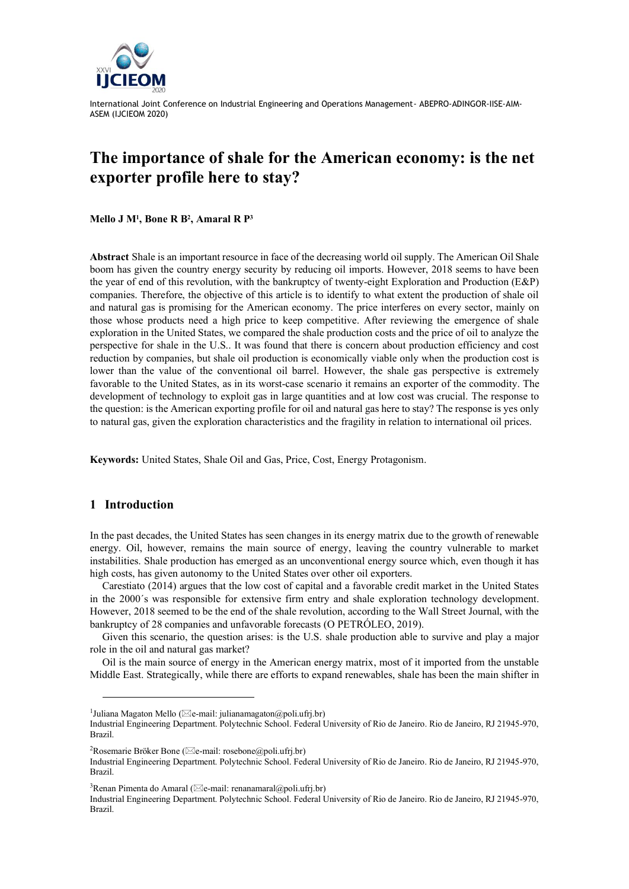

# **The importance of shale for the American economy: is the net exporter profile here to stay?**

**Mello J M<sup>1</sup> , Bone R B<sup>2</sup> , Amaral R P<sup>3</sup>**

**Abstract** Shale is an important resource in face of the decreasing world oil supply. The American Oil Shale boom has given the country energy security by reducing oil imports. However, 2018 seems to have been the year of end of this revolution, with the bankruptcy of twenty-eight Exploration and Production (E&P) companies. Therefore, the objective of this article is to identify to what extent the production of shale oil and natural gas is promising for the American economy. The price interferes on every sector, mainly on those whose products need a high price to keep competitive. After reviewing the emergence of shale exploration in the United States, we compared the shale production costs and the price of oil to analyze the perspective for shale in the U.S.. It was found that there is concern about production efficiency and cost reduction by companies, but shale oil production is economically viable only when the production cost is lower than the value of the conventional oil barrel. However, the shale gas perspective is extremely favorable to the United States, as in its worst-case scenario it remains an exporter of the commodity. The development of technology to exploit gas in large quantities and at low cost was crucial. The response to the question: is the American exporting profile for oil and natural gas here to stay? The response is yes only to natural gas, given the exploration characteristics and the fragility in relation to international oil prices.

**Keywords:** United States, Shale Oil and Gas, Price, Cost, Energy Protagonism.

## **1 Introduction**

In the past decades, the United States has seen changes in its energy matrix due to the growth of renewable energy. Oil, however, remains the main source of energy, leaving the country vulnerable to market instabilities. Shale production has emerged as an unconventional energy source which, even though it has high costs, has given autonomy to the United States over other oil exporters.

Carestiato (2014) argues that the low cost of capital and a favorable credit market in the United States in the 2000´s was responsible for extensive firm entry and shale exploration technology development. However, 2018 seemed to be the end of the shale revolution, according to the Wall Street Journal, with the bankruptcy of 28 companies and unfavorable forecasts (O PETRÓLEO, 2019).

Given this scenario, the question arises: is the U.S. shale production able to survive and play a major role in the oil and natural gas market?

Oil is the main source of energy in the American energy matrix, most of it imported from the unstable Middle East. Strategically, while there are efforts to expand renewables, shale has been the main shifter in

<sup>2</sup>Rosemarie Bröker Bone ( $\boxtimes$ e-mail: rosebone@poli.ufrj.br)

<sup>3</sup>Renan Pimenta do Amaral ( $\boxtimes$ e-mail: renanamaral@poli.ufrj.br)

Industrial Engineering Department. Polytechnic School. Federal University of Rio de Janeiro. Rio de Janeiro, RJ 21945-970, Brazil.

<sup>&</sup>lt;sup>1</sup>Juliana Magaton Mello ( $\boxtimes$ e-mail: julianamagaton@poli.ufrj.br)

Industrial Engineering Department. Polytechnic School. Federal University of Rio de Janeiro. Rio de Janeiro, RJ 21945-970, Brazil.

Industrial Engineering Department. Polytechnic School. Federal University of Rio de Janeiro. Rio de Janeiro, RJ 21945-970, Brazil.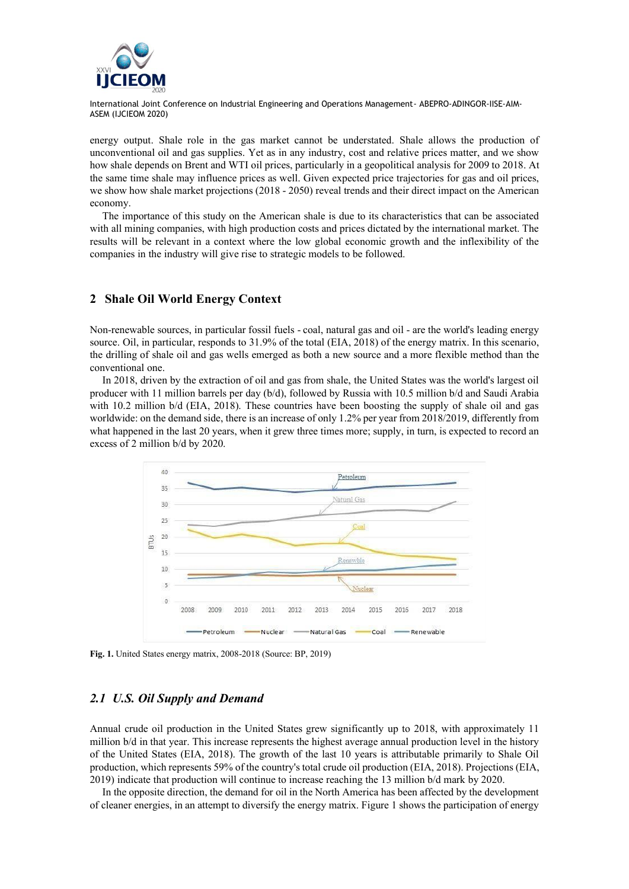

energy output. Shale role in the gas market cannot be understated. Shale allows the production of unconventional oil and gas supplies. Yet as in any industry, cost and relative prices matter, and we show how shale depends on Brent and WTI oil prices, particularly in a geopolitical analysis for 2009 to 2018. At the same time shale may influence prices as well. Given expected price trajectories for gas and oil prices, we show how shale market projections (2018 - 2050) reveal trends and their direct impact on the American economy.

The importance of this study on the American shale is due to its characteristics that can be associated with all mining companies, with high production costs and prices dictated by the international market. The results will be relevant in a context where the low global economic growth and the inflexibility of the companies in the industry will give rise to strategic models to be followed.

## **2 Shale Oil World Energy Context**

Non-renewable sources, in particular fossil fuels - coal, natural gas and oil - are the world's leading energy source. Oil, in particular, responds to 31.9% of the total (EIA, 2018) of the energy matrix. In this scenario, the drilling of shale oil and gas wells emerged as both a new source and a more flexible method than the conventional one.

In 2018, driven by the extraction of oil and gas from shale, the United States was the world's largest oil producer with 11 million barrels per day (b/d), followed by Russia with 10.5 million b/d and Saudi Arabia with 10.2 million b/d (EIA, 2018). These countries have been boosting the supply of shale oil and gas worldwide: on the demand side, there is an increase of only 1.2% per year from 2018/2019, differently from what happened in the last 20 years, when it grew three times more; supply, in turn, is expected to record an excess of 2 million b/d by 2020.



**Fig. 1.** United States energy matrix, 2008-2018 (Source: BP, 2019)

## *2.1 U.S. Oil Supply and Demand*

Annual crude oil production in the United States grew significantly up to 2018, with approximately 11 million b/d in that year. This increase represents the highest average annual production level in the history of the United States (EIA, 2018). The growth of the last 10 years is attributable primarily to Shale Oil production, which represents 59% of the country's total crude oil production (EIA, 2018). Projections (EIA, 2019) indicate that production will continue to increase reaching the 13 million b/d mark by 2020.

In the opposite direction, the demand for oil in the North America has been affected by the development of cleaner energies, in an attempt to diversify the energy matrix. Figure 1 shows the participation of energy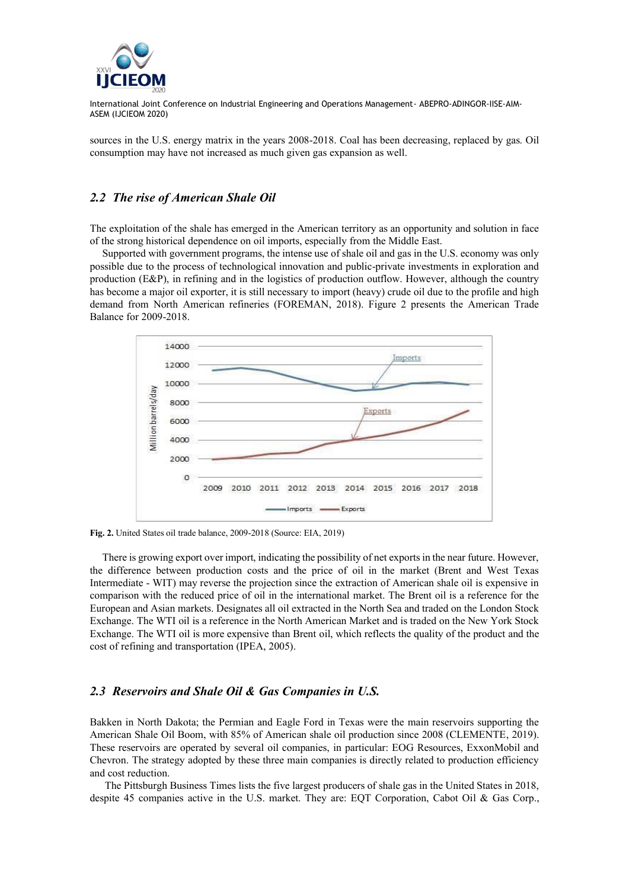

sources in the U.S. energy matrix in the years 2008-2018. Coal has been decreasing, replaced by gas. Oil consumption may have not increased as much given gas expansion as well.

#### *2.2 The rise of American Shale Oil*

The exploitation of the shale has emerged in the American territory as an opportunity and solution in face of the strong historical dependence on oil imports, especially from the Middle East.

Supported with government programs, the intense use of shale oil and gas in the U.S. economy was only possible due to the process of technological innovation and public-private investments in exploration and production (E&P), in refining and in the logistics of production outflow. However, although the country has become a major oil exporter, it is still necessary to import (heavy) crude oil due to the profile and high demand from North American refineries (FOREMAN, 2018). Figure 2 presents the American Trade Balance for 2009-2018.



**Fig. 2.** United States oil trade balance, 2009-2018 (Source: EIA, 2019)

There is growing export over import, indicating the possibility of net exports in the near future. However, the difference between production costs and the price of oil in the market (Brent and West Texas Intermediate - WIT) may reverse the projection since the extraction of American shale oil is expensive in comparison with the reduced price of oil in the international market. The Brent oil is a reference for the European and Asian markets. Designates all oil extracted in the North Sea and traded on the London Stock Exchange. The WTI oil is a reference in the North American Market and is traded on the New York Stock Exchange. The WTI oil is more expensive than Brent oil, which reflects the quality of the product and the cost of refining and transportation (IPEA, 2005).

## *2.3 Reservoirs and Shale Oil & Gas Companies in U.S.*

Bakken in North Dakota; the Permian and Eagle Ford in Texas were the main reservoirs supporting the American Shale Oil Boom, with 85% of American shale oil production since 2008 (CLEMENTE, 2019). These reservoirs are operated by several oil companies, in particular: EOG Resources, ExxonMobil and Chevron. The strategy adopted by these three main companies is directly related to production efficiency and cost reduction.

The Pittsburgh Business Times lists the five largest producers of shale gas in the United States in 2018, despite 45 companies active in the U.S. market. They are: EQT Corporation, Cabot Oil & Gas Corp.,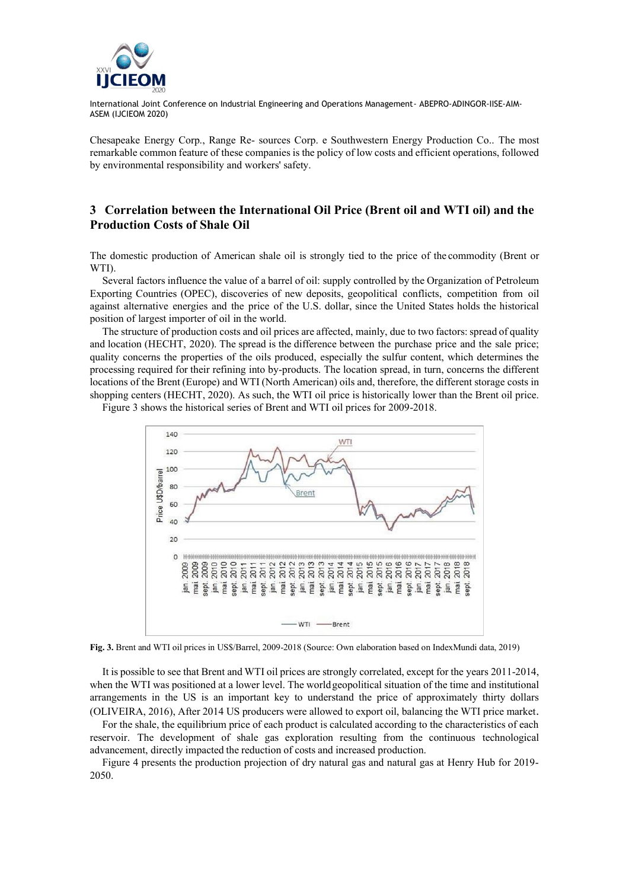

Chesapeake Energy Corp., Range Re- sources Corp. e Southwestern Energy Production Co.. The most remarkable common feature of these companies is the policy of low costs and efficient operations, followed by environmental responsibility and workers' safety.

## **3 Correlation between the International Oil Price (Brent oil and WTI oil) and the Production Costs of Shale Oil**

The domestic production of American shale oil is strongly tied to the price of the commodity (Brent or WTI).

Several factors influence the value of a barrel of oil: supply controlled by the Organization of Petroleum Exporting Countries (OPEC), discoveries of new deposits, geopolitical conflicts, competition from oil against alternative energies and the price of the U.S. dollar, since the United States holds the historical position of largest importer of oil in the world.

The structure of production costs and oil prices are affected, mainly, due to two factors: spread of quality and location (HECHT, 2020). The spread is the difference between the purchase price and the sale price; quality concerns the properties of the oils produced, especially the sulfur content, which determines the processing required for their refining into by-products. The location spread, in turn, concerns the different locations of the Brent (Europe) and WTI (North American) oils and, therefore, the different storage costs in shopping centers (HECHT, 2020). As such, the WTI oil price is historically lower than the Brent oil price.



Figure 3 shows the historical series of Brent and WTI oil prices for 2009-2018.

**Fig. 3.** Brent and WTI oil prices in US\$/Barrel, 2009-2018 (Source: Own elaboration based on IndexMundi data, 2019)

It is possible to see that Brent and WTI oil prices are strongly correlated, except for the years 2011-2014, when the WTI was positioned at a lower level. The world geopolitical situation of the time and institutional arrangements in the US is an important key to understand the price of approximately thirty dollars (OLIVEIRA, 2016), After 2014 US producers were allowed to export oil, balancing the WTI price market.

For the shale, the equilibrium price of each product is calculated according to the characteristics of each reservoir. The development of shale gas exploration resulting from the continuous technological advancement, directly impacted the reduction of costs and increased production.

Figure 4 presents the production projection of dry natural gas and natural gas at Henry Hub for 2019- 2050.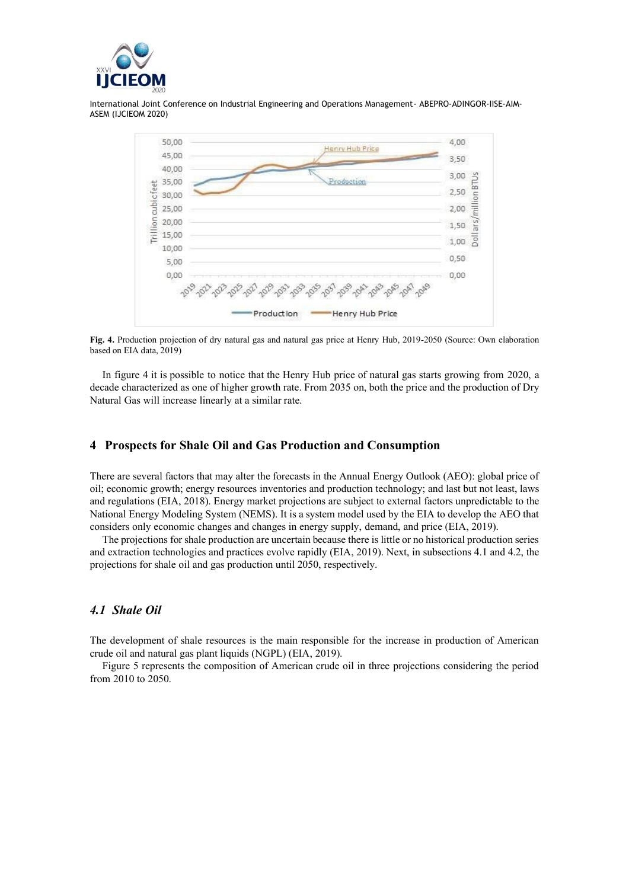



**Fig. 4.** Production projection of dry natural gas and natural gas price at Henry Hub, 2019-2050 (Source: Own elaboration based on EIA data, 2019)

In figure 4 it is possible to notice that the Henry Hub price of natural gas starts growing from 2020, a decade characterized as one of higher growth rate. From 2035 on, both the price and the production of Dry Natural Gas will increase linearly at a similar rate.

## **4 Prospects for Shale Oil and Gas Production and Consumption**

There are several factors that may alter the forecasts in the Annual Energy Outlook (AEO): global price of oil; economic growth; energy resources inventories and production technology; and last but not least, laws and regulations (EIA, 2018). Energy market projections are subject to external factors unpredictable to the National Energy Modeling System (NEMS). It is a system model used by the EIA to develop the AEO that considers only economic changes and changes in energy supply, demand, and price (EIA, 2019).

The projections for shale production are uncertain because there is little or no historical production series and extraction technologies and practices evolve rapidly (EIA, 2019). Next, in subsections 4.1 and 4.2, the projections for shale oil and gas production until 2050, respectively.

## *4.1 Shale Oil*

The development of shale resources is the main responsible for the increase in production of American crude oil and natural gas plant liquids (NGPL) (EIA, 2019).

Figure 5 represents the composition of American crude oil in three projections considering the period from 2010 to 2050.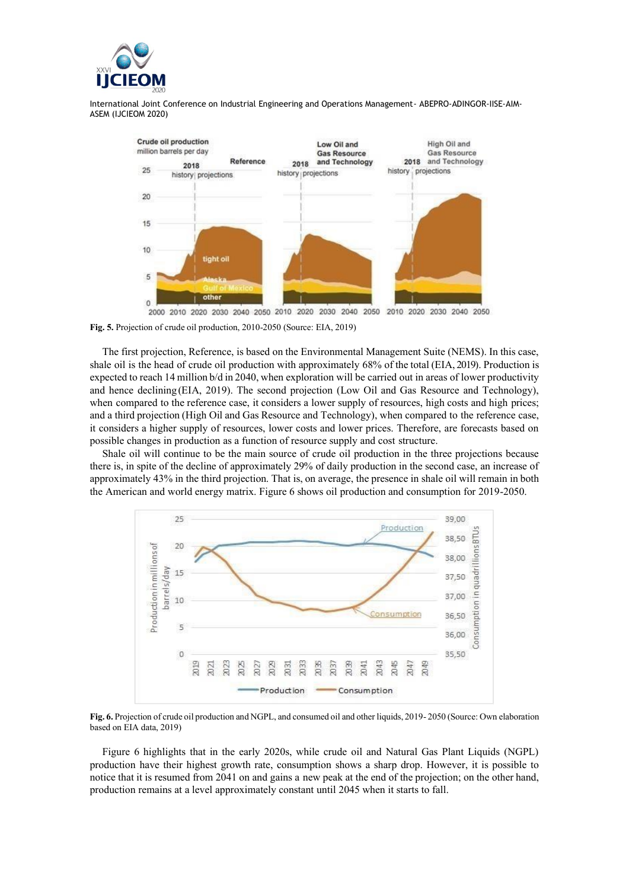



**Fig. 5.** Projection of crude oil production, 2010-2050 (Source: EIA, 2019)

The first projection, Reference, is based on the Environmental Management Suite (NEMS). In this case, shale oil is the head of crude oil production with approximately 68% of the total (EIA, 2019). Production is expected to reach 14 million b/d in 2040, when exploration will be carried out in areas of lower productivity and hence declining (EIA, 2019). The second projection (Low Oil and Gas Resource and Technology), when compared to the reference case, it considers a lower supply of resources, high costs and high prices; and a third projection (High Oil and Gas Resource and Technology), when compared to the reference case, it considers a higher supply of resources, lower costs and lower prices. Therefore, are forecasts based on possible changes in production as a function of resource supply and cost structure.

Shale oil will continue to be the main source of crude oil production in the three projections because there is, in spite of the decline of approximately 29% of daily production in the second case, an increase of approximately 43% in the third projection. That is, on average, the presence in shale oil will remain in both the American and world energy matrix. Figure 6 shows oil production and consumption for 2019-2050.



**Fig. 6.** Projection of crude oil production and NGPL, and consumed oil and other liquids, 2019- 2050 (Source: Own elaboration based on EIA data, 2019)

Figure 6 highlights that in the early 2020s, while crude oil and Natural Gas Plant Liquids (NGPL) production have their highest growth rate, consumption shows a sharp drop. However, it is possible to notice that it is resumed from 2041 on and gains a new peak at the end of the projection; on the other hand, production remains at a level approximately constant until 2045 when it starts to fall.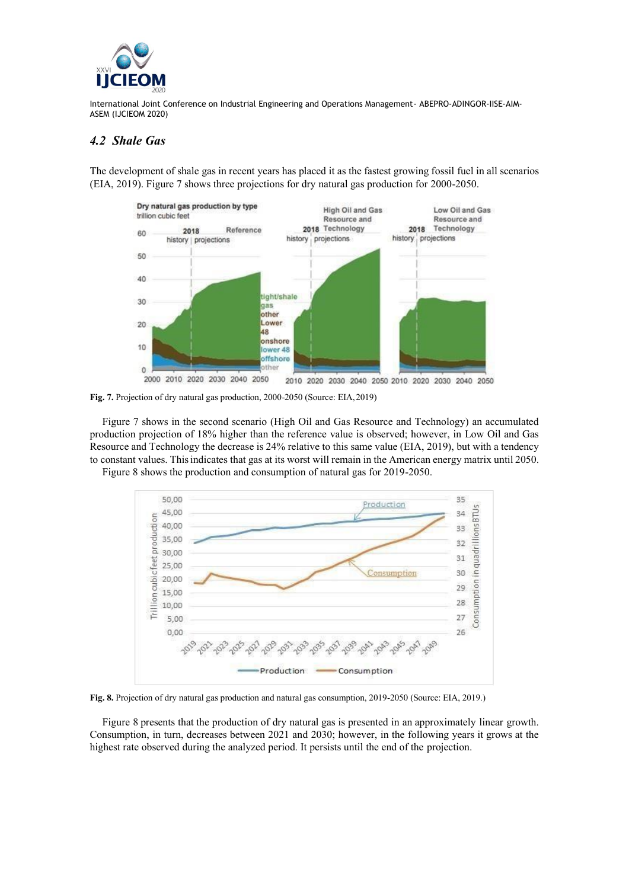

# *4.2 Shale Gas*

The development of shale gas in recent years has placed it as the fastest growing fossil fuel in all scenarios (EIA, 2019). Figure 7 shows three projections for dry natural gas production for 2000-2050.



**Fig. 7.** Projection of dry natural gas production, 2000-2050 (Source: EIA,2019)

Figure 7 shows in the second scenario (High Oil and Gas Resource and Technology) an accumulated production projection of 18% higher than the reference value is observed; however, in Low Oil and Gas Resource and Technology the decrease is 24% relative to this same value (EIA, 2019), but with a tendency to constant values. Thisindicates that gas at its worst will remain in the American energy matrix until 2050.





**Fig. 8.** Projection of dry natural gas production and natural gas consumption, 2019-2050 (Source: EIA, 2019.)

Figure 8 presents that the production of dry natural gas is presented in an approximately linear growth. Consumption, in turn, decreases between 2021 and 2030; however, in the following years it grows at the highest rate observed during the analyzed period. It persists until the end of the projection.